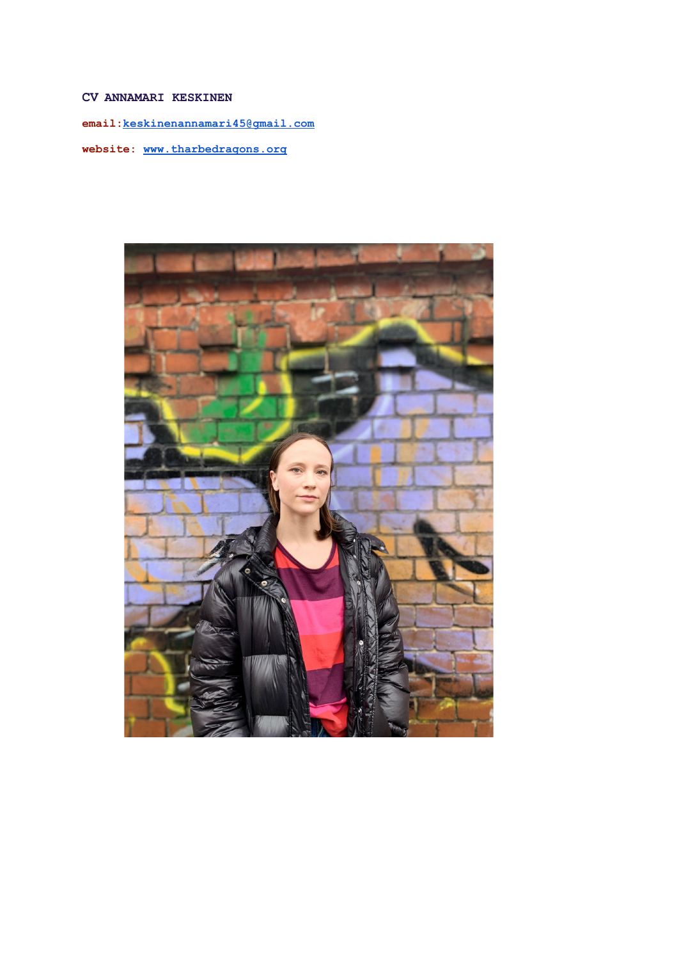# **CV ANNAMARI KESKINEN**

**email:[keskinenannamari45@gmail.com](mailto:keskinenannamari45@gmail.com)**

**website: [www.tharbedragons.org](http://www.tharbedragons.org)**

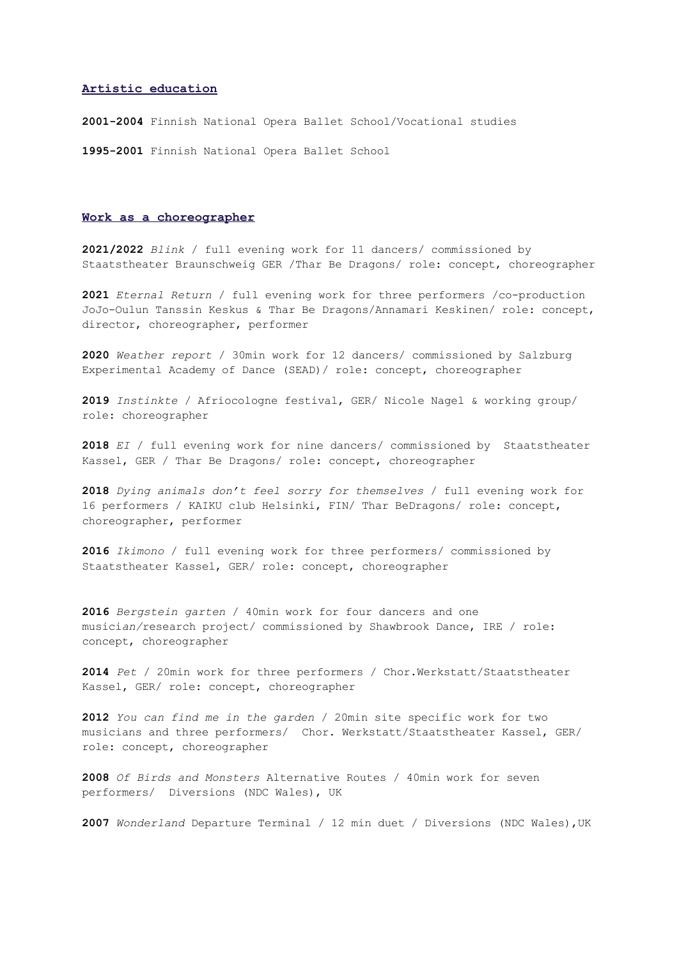# **Artistic education**

**2001-2004** Finnish National Opera Ballet School/Vocational studies

**1995-2001** Finnish National Opera Ballet School

# **Work as a choreographer**

**2021/2022** *Blink* / full evening work for 11 dancers/ commissioned by Staatstheater Braunschweig GER /Thar Be Dragons/ role: concept, choreographer

**2021** *Eternal Return* / full evening work for three performers /co-production JoJo-Oulun Tanssin Keskus & Thar Be Dragons/Annamari Keskinen/ role: concept, director, choreographer, performer

**2020** *Weather report* / 30min work for 12 dancers/ commissioned by Salzburg Experimental Academy of Dance (SEAD)/ role: concept, choreographer

**2019** *Instinkte* / Afriocologne festival, GER/ Nicole Nagel & working group/ role: choreographer

**2018** *EI* / full evening work for nine dancers/ commissioned by Staatstheater Kassel, GER / Thar Be Dragons/ role: concept, choreographer

**2018** *Dying animals don't feel sorry for themselves* / full evening work for 16 performers / KAIKU club Helsinki, FIN/ Thar BeDragons/ role: concept, choreographer, performer

**2016** *Ikimono* / full evening work for three performers/ commissioned by Staatstheater Kassel, GER/ role: concept, choreographer

**2016** *Bergstein garten* / 40min work for four dancers and one musici*an/*research project/ commissioned by Shawbrook Dance, IRE / role: concept, choreographer

**2014** *Pet* / 20min work for three performers / Chor.Werkstatt/Staatstheater Kassel, GER/ role: concept, choreographer

**2012** *You can find me in the garden* / 20min site specific work for two musicians and three performers/ Chor. Werkstatt/Staatstheater Kassel, GER/ role: concept, choreographer

**2008** *Of Birds and Monsters* Alternative Routes / 40min work for seven performers/ Diversions (NDC Wales), UK

**2007** *Wonderland* Departure Terminal / 12 min duet / Diversions (NDC Wales),UK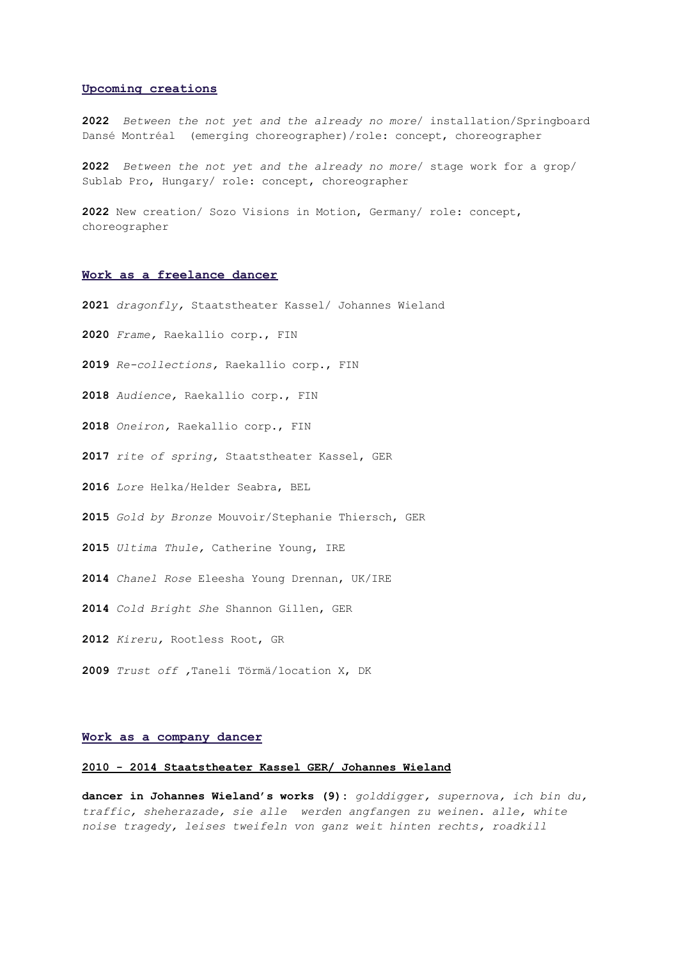### **Upcoming creations**

 *Between the not yet and the already no more*/ installation/Springboard Dansé Montréal (emerging choreographer)/role: concept, choreographer

 *Between the not yet and the already no more*/ stage work for a grop/ Sublab Pro, Hungary/ role: concept, choreographer

 New creation/ Sozo Visions in Motion, Germany/ role: concept, choreographer

# **Work as a freelance dancer**

*dragonfly,* Staatstheater Kassel/ Johannes Wieland

*Frame,* Raekallio corp., FIN

- *Re-collections,* Raekallio corp., FIN
- *Audience,* Raekallio corp., FIN
- *Oneiron,* Raekallio corp., FIN
- *rite of spring,* Staatstheater Kassel, GER
- *Lore* Helka/Helder Seabra, BEL
- *Gold by Bronze* Mouvoir/Stephanie Thiersch, GER
- *Ultima Thule,* Catherine Young, IRE
- *Chanel Rose* Eleesha Young Drennan, UK/IRE
- *Cold Bright She* Shannon Gillen, GER
- *Kireru,* Rootless Root, GR
- *Trust off ,*Taneli Törmä/location X, DK

# **Work as a company dancer**

# **- 2014 Staatstheater Kassel GER/ Johannes Wieland**

**dancer in Johannes Wieland's works (9):** *golddigger, supernova, ich bin du, traffic, sheherazade, sie alle werden angfangen zu weinen. alle, white noise tragedy, leises tweifeln von ganz weit hinten rechts, roadkill*